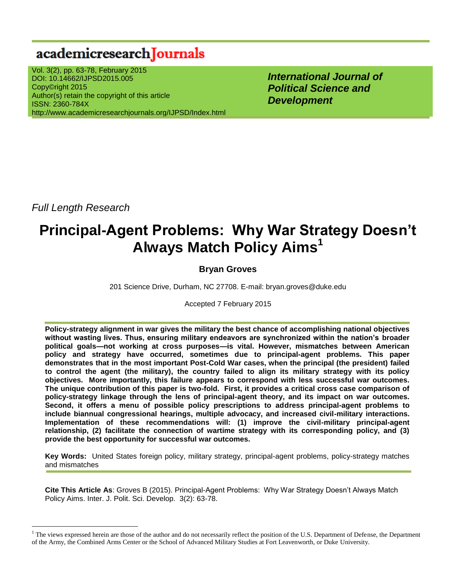## academicresearch Journals

Vol. 3(2), pp. 63-78, February 2015 DOI: 10.14662/IJPSD2015.005 Copy©right 2015 Author(s) retain the copyright of this article ISSN: 2360-784X http://www.academicresearchjournals.org/IJPSD/Index.html

*International Journal of Political Science and Development*

*Full Length Research*

 $\overline{a}$ 

# **Principal-Agent Problems: Why War Strategy Doesn't Always Match Policy Aims<sup>1</sup>**

### **Bryan Groves**

201 Science Drive, Durham, NC 27708. E-mail: bryan.groves@duke.edu

Accepted 7 February 2015

**Policy-strategy alignment in war gives the military the best chance of accomplishing national objectives without wasting lives. Thus, ensuring military endeavors are synchronized within the nation's broader political goals—not working at cross purposes—is vital. However, mismatches between American policy and strategy have occurred, sometimes due to principal-agent problems. This paper demonstrates that in the most important Post-Cold War cases, when the principal (the president) failed to control the agent (the military), the country failed to align its military strategy with its policy objectives. More importantly, this failure appears to correspond with less successful war outcomes. The unique contribution of this paper is two-fold. First, it provides a critical cross case comparison of policy-strategy linkage through the lens of principal-agent theory, and its impact on war outcomes. Second, it offers a menu of possible policy prescriptions to address principal-agent problems to include biannual congressional hearings, multiple advocacy, and increased civil-military interactions. Implementation of these recommendations will: (1) improve the civil-military principal-agent relationship, (2) facilitate the connection of wartime strategy with its corresponding policy, and (3) provide the best opportunity for successful war outcomes.**

**Key Words:** United States foreign policy, military strategy, principal-agent problems, policy-strategy matches and mismatches

**Cite This Article As**: Groves B (2015). Principal-Agent Problems: Why War Strategy Doesn"t Always Match Policy Aims. Inter. J. Polit. Sci. Develop. 3(2): 63-78.

 $<sup>1</sup>$  The views expressed herein are those of the author and do not necessarily reflect the position of the U.S. Department of Defense, the Department</sup> of the Army, the Combined Arms Center or the School of Advanced Military Studies at Fort Leavenworth, or Duke University.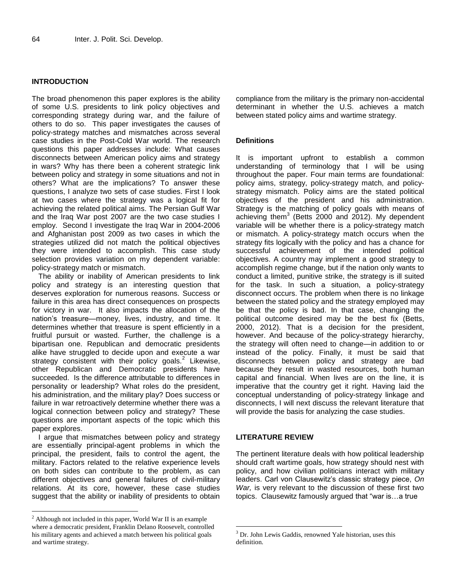#### **INTRODUCTION**

The broad phenomenon this paper explores is the ability of some U.S. presidents to link policy objectives and corresponding strategy during war, and the failure of others to do so. This paper investigates the causes of policy-strategy matches and mismatches across several case studies in the Post-Cold War world. The research questions this paper addresses include: What causes disconnects between American policy aims and strategy in wars? Why has there been a coherent strategic link between policy and strategy in some situations and not in others? What are the implications? To answer these questions, I analyze two sets of case studies. First I look at two cases where the strategy was a logical fit for achieving the related political aims. The Persian Gulf War and the Iraq War post 2007 are the two case studies I employ. Second I investigate the Iraq War in 2004-2006 and Afghanistan post 2009 as two cases in which the strategies utilized did not match the political objectives they were intended to accomplish. This case study selection provides variation on my dependent variable: policy-strategy match or mismatch.

The ability or inability of American presidents to link policy and strategy is an interesting question that deserves exploration for numerous reasons. Success or failure in this area has direct consequences on prospects for victory in war. It also impacts the allocation of the nation"s treasure—money, lives, industry, and time. It determines whether that treasure is spent efficiently in a fruitful pursuit or wasted. Further, the challenge is a bipartisan one. Republican and democratic presidents alike have struggled to decide upon and execute a war strategy consistent with their policy goals. $2$  Likewise, other Republican and Democratic presidents have succeeded. Is the difference attributable to differences in personality or leadership? What roles do the president, his administration, and the military play? Does success or failure in war retroactively determine whether there was a logical connection between policy and strategy? These questions are important aspects of the topic which this paper explores.

I argue that mismatches between policy and strategy are essentially principal-agent problems in which the principal, the president, fails to control the agent, the military. Factors related to the relative experience levels on both sides can contribute to the problem, as can different objectives and general failures of civil-military relations. At its core, however, these case studies suggest that the ability or inability of presidents to obtain

 $\overline{a}$ 

compliance from the military is the primary non-accidental determinant in whether the U.S. achieves a match between stated policy aims and wartime strategy.

#### **Definitions**

It is important upfront to establish a common understanding of terminology that I will be using throughout the paper. Four main terms are foundational: policy aims, strategy, policy-strategy match, and policystrategy mismatch. Policy aims are the stated political objectives of the president and his administration. Strategy is the matching of policy goals with means of achieving them<sup>3</sup> (Betts 2000 and 2012). My dependent variable will be whether there is a policy-strategy match or mismatch. A policy-strategy match occurs when the strategy fits logically with the policy and has a chance for successful achievement of the intended political objectives. A country may implement a good strategy to accomplish regime change, but if the nation only wants to conduct a limited, punitive strike, the strategy is ill suited for the task. In such a situation, a policy-strategy disconnect occurs. The problem when there is no linkage between the stated policy and the strategy employed may be that the policy is bad. In that case, changing the political outcome desired may be the best fix (Betts, 2000, 2012). That is a decision for the president, however. And because of the policy-strategy hierarchy, the strategy will often need to change—in addition to or instead of the policy. Finally, it must be said that disconnects between policy and strategy are bad because they result in wasted resources, both human capital and financial. When lives are on the line, it is imperative that the country get it right. Having laid the conceptual understanding of policy-strategy linkage and disconnects, I will next discuss the relevant literature that will provide the basis for analyzing the case studies.

#### **LITERATURE REVIEW**

 $\overline{a}$ 

The pertinent literature deals with how political leadership should craft wartime goals, how strategy should nest with policy, and how civilian politicians interact with military leaders. Carl von Clausewitz"s classic strategy piece, *On War,* is very relevant to the discussion of these first two topics. Clausewitz famously argued that "war is…a true

<sup>2</sup> Although not included in this paper, World War II is an example where a democratic president, Franklin Delano Roosevelt, controlled his military agents and achieved a match between his political goals and wartime strategy.

 $3$  Dr. John Lewis Gaddis, renowned Yale historian, uses this definition.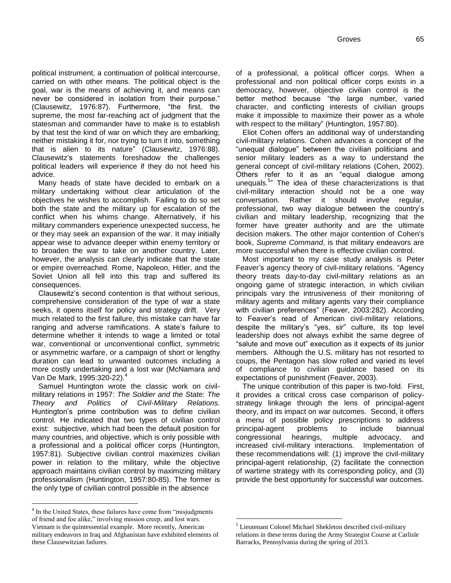political instrument, a continuation of political intercourse, carried on with other means. The political object is the goal, war is the means of achieving it, and means can never be considered in isolation from their purpose." (Clausewitz, 1976:87). Furthermore, "the first, the supreme, the most far-reaching act of judgment that the statesman and commander have to make is to establish by that test the kind of war on which they are embarking; neither mistaking it for, nor trying to turn it into, something that is alien to its nature" (Clausewitz, 1976:88). Clausewitz"s statements foreshadow the challenges political leaders will experience if they do not heed his advice.

Many heads of state have decided to embark on a military undertaking without clear articulation of the objectives he wishes to accomplish. Failing to do so set both the state and the military up for escalation of the conflict when his whims change. Alternatively, if his military commanders experience unexpected success, he or they may seek an expansion of the war. It may initially appear wise to advance deeper within enemy territory or to broaden the war to take on another country. Later, however, the analysis can clearly indicate that the state or empire overreached. Rome, Napoleon, Hitler, and the Soviet Union all fell into this trap and suffered its consequences.

Clausewitz"s second contention is that without serious, comprehensive consideration of the type of war a state seeks, it opens itself for policy and strategy drift. Very much related to the first failure, this mistake can have far ranging and adverse ramifications. A state's failure to determine whether it intends to wage a limited or total war, conventional or unconventional conflict, symmetric or asymmetric warfare, or a campaign of short or lengthy duration can lead to unwanted outcomes including a more costly undertaking and a lost war (McNamara and Van De Mark, 1995:320-22).<sup>4</sup>

Samuel Huntington wrote the classic work on civilmilitary relations in 1957: *The Soldier and the State: The Theory and Politics of Civil-Military Relations.*  Huntington"s prime contribution was to define civilian control. He indicated that two types of civilian control exist: subjective, which had been the default position for many countries, and objective, which is only possible with a professional and a political officer corps (Huntington, 1957:81). Subjective civilian control maximizes civilian power in relation to the military, while the objective approach maintains civilian control by maximizing military professionalism (Huntington, 1957:80-85). The former is the only type of civilian control possible in the absence

 $\overline{a}$ 

of a professional, a political officer corps. When a professional and non political officer corps exists in a democracy, however, objective civilian control is the better method because "the large number, varied character, and conflicting interests of civilian groups make it impossible to maximize their power as a whole with respect to the military" (Huntington, 1957:80).

Eliot Cohen offers an additional way of understanding civil-military relations. Cohen advances a concept of the "unequal dialogue" between the civilian politicians and senior military leaders as a way to understand the general concept of civil-military relations (Cohen, 2002). Others refer to it as an "equal dialogue among unequals.<sup>5</sup> The idea of these characterizations is that civil-military interaction should not be a one way conversation. Rather it should involve regular, professional, two way dialogue between the country"s civilian and military leadership, recognizing that the former have greater authority and are the ultimate decision makers. The other major contention of Cohen's book, *Supreme Command*, is that military endeavors are more successful when there is effective civilian control.

Most important to my case study analysis is Peter Feaver"s agency theory of civil-military relations. "Agency theory treats day-to-day civil-military relations as an ongoing game of strategic interaction, in which civilian principals vary the intrusiveness of their monitoring of military agents and military agents vary their compliance with civilian preferences" (Feaver, 2003:282). According to Feaver"s read of American civil-military relations, despite the military"s "yes, sir" culture, its top level leadership does not always exhibit the same degree of "salute and move out" execution as it expects of its junior members. Although the U.S. military has not resorted to coups, the Pentagon has slow rolled and varied its level of compliance to civilian guidance based on its expectations of punishment (Feaver, 2003).

The unique contribution of this paper is two-fold. First, it provides a critical cross case comparison of policystrategy linkage through the lens of principal-agent theory, and its impact on war outcomes. Second, it offers a menu of possible policy prescriptions to address principal-agent problems to include biannual congressional hearings, multiple advocacy, and increased civil-military interactions. Implementation of these recommendations will: (1) improve the civil-military principal-agent relationship, (2) facilitate the connection of wartime strategy with its corresponding policy, and (3) provide the best opportunity for successful war outcomes.

<sup>&</sup>lt;sup>4</sup> In the United States, these failures have come from "misjudgments" of friend and foe alike," involving mission creep, and lost wars. Vietnam is the quintessential example. More recently, American military endeavors in Iraq and Afghanistan have exhibited elements of these Clausewitzian failures.

<sup>5</sup> Lieutenant Colonel Michael Shekleton described civil-military relations in these terms during the Army Strategist Course at Carlisle Barracks, Pennsylvania during the spring of 2013.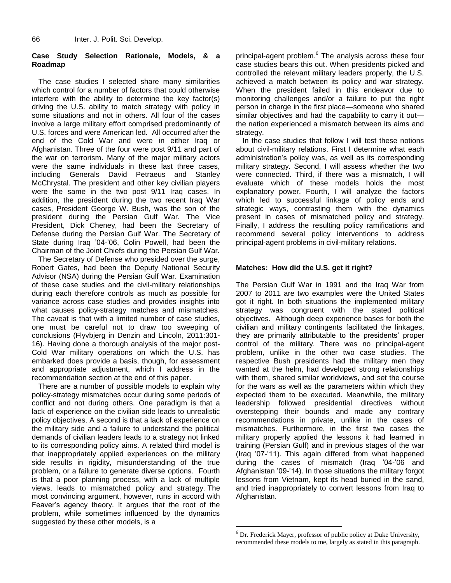#### **Case Study Selection Rationale, Models, & a Roadmap**

The case studies I selected share many similarities which control for a number of factors that could otherwise interfere with the ability to determine the key factor(s) driving the U.S. ability to match strategy with policy in some situations and not in others. All four of the cases involve a large military effort comprised predominantly of U.S. forces and were American led. All occurred after the end of the Cold War and were in either Iraq or Afghanistan. Three of the four were post 9/11 and part of the war on terrorism. Many of the major military actors were the same individuals in these last three cases, including Generals David Petraeus and Stanley McChrystal. The president and other key civilian players were the same in the two post 9/11 Iraq cases. In addition, the president during the two recent Iraq War cases, President George W. Bush, was the son of the president during the Persian Gulf War. The Vice President, Dick Cheney, had been the Secretary of Defense during the Persian Gulf War. The Secretary of State during Iraq "04-"06, Colin Powell, had been the Chairman of the Joint Chiefs during the Persian Gulf War.

The Secretary of Defense who presided over the surge, Robert Gates, had been the Deputy National Security Advisor (NSA) during the Persian Gulf War. Examination of these case studies and the civil-military relationships during each therefore controls as much as possible for variance across case studies and provides insights into what causes policy-strategy matches and mismatches. The caveat is that with a limited number of case studies, one must be careful not to draw too sweeping of conclusions (Flyvbjerg in Denzin and Lincoln, 2011:301- 16). Having done a thorough analysis of the major post-Cold War military operations on which the U.S. has embarked does provide a basis, though, for assessment and appropriate adjustment, which I address in the recommendation section at the end of this paper.

There are a number of possible models to explain why policy-strategy mismatches occur during some periods of conflict and not during others. One paradigm is that a lack of experience on the civilian side leads to unrealistic policy objectives. A second is that a lack of experience on the military side and a failure to understand the political demands of civilian leaders leads to a strategy not linked to its corresponding policy aims. A related third model is that inappropriately applied experiences on the military side results in rigidity, misunderstanding of the true problem, or a failure to generate diverse options. Fourth is that a poor planning process, with a lack of multiple views, leads to mismatched policy and strategy. The most convincing argument, however, runs in accord with Feaver"s agency theory. It argues that the root of the problem, while sometimes influenced by the dynamics suggested by these other models, is a

principal-agent problem.<sup>6</sup> The analysis across these four case studies bears this out. When presidents picked and controlled the relevant military leaders properly, the U.S. achieved a match between its policy and war strategy. When the president failed in this endeavor due to monitoring challenges and/or a failure to put the right person in charge in the first place—someone who shared similar objectives and had the capability to carry it out the nation experienced a mismatch between its aims and strategy.

In the case studies that follow I will test these notions about civil-military relations. First I determine what each administration"s policy was, as well as its corresponding military strategy. Second, I will assess whether the two were connected. Third, if there was a mismatch, I will evaluate which of these models holds the most explanatory power. Fourth, I will analyze the factors which led to successful linkage of policy ends and strategic ways, contrasting them with the dynamics present in cases of mismatched policy and strategy. Finally, I address the resulting policy ramifications and recommend several policy interventions to address principal-agent problems in civil-military relations.

#### **Matches: How did the U.S. get it right?**

The Persian Gulf War in 1991 and the Iraq War from 2007 to 2011 are two examples were the United States got it right. In both situations the implemented military strategy was congruent with the stated political objectives. Although deep experience bases for both the civilian and military contingents facilitated the linkages, they are primarily attributable to the presidents" proper control of the military. There was no principal-agent problem, unlike in the other two case studies. The respective Bush presidents had the military men they wanted at the helm, had developed strong relationships with them, shared similar worldviews, and set the course for the wars as well as the parameters within which they expected them to be executed. Meanwhile, the military leadership followed presidential directives without overstepping their bounds and made any contrary recommendations in private, unlike in the cases of mismatches. Furthermore, in the first two cases the military properly applied the lessons it had learned in training (Persian Gulf) and in previous stages of the war (Iraq "07-"11). This again differed from what happened during the cases of mismatch (Iraq "04-"06 and Afghanistan "09-"14). In those situations the military forgot lessons from Vietnam, kept its head buried in the sand, and tried inappropriately to convert lessons from Iraq to Afghanistan.

 $6$  Dr. Frederick Mayer, professor of public policy at Duke University, recommended these models to me, largely as stated in this paragraph.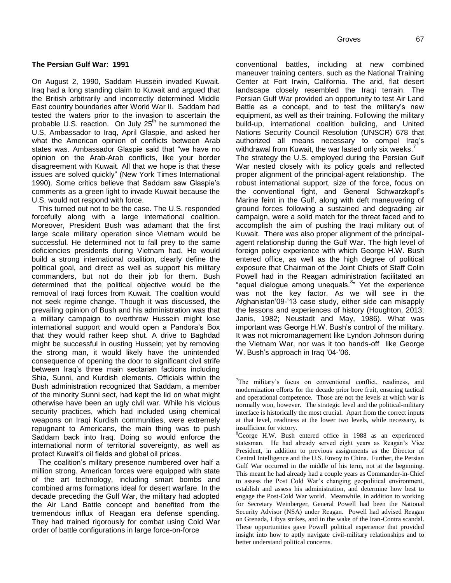#### **The Persian Gulf War: 1991**

On August 2, 1990, Saddam Hussein invaded Kuwait. Iraq had a long standing claim to Kuwait and argued that the British arbitrarily and incorrectly determined Middle East country boundaries after World War II. Saddam had tested the waters prior to the invasion to ascertain the probable U.S. reaction. On July  $25<sup>th</sup>$  he summoned the U.S. Ambassador to Iraq, April Glaspie, and asked her what the American opinion of conflicts between Arab states was. Ambassador Glaspie said that "we have no opinion on the Arab-Arab conflicts, like your border disagreement with Kuwait. All that we hope is that these issues are solved quickly" (New York Times International 1990). Some critics believe that Saddam saw Glaspie"s comments as a green light to invade Kuwait because the U.S. would not respond with force.

This turned out not to be the case. The U.S. responded forcefully along with a large international coalition. Moreover, President Bush was adamant that the first large scale military operation since Vietnam would be successful. He determined not to fall prey to the same deficiencies presidents during Vietnam had. He would build a strong international coalition, clearly define the political goal, and direct as well as support his military commanders, but not do their job for them. Bush determined that the political objective would be the removal of Iraqi forces from Kuwait. The coalition would not seek regime change. Though it was discussed, the prevailing opinion of Bush and his administration was that a military campaign to overthrow Hussein might lose international support and would open a Pandora's Box that they would rather keep shut. A drive to Baghdad might be successful in ousting Hussein; yet by removing the strong man, it would likely have the unintended consequence of opening the door to significant civil strife between Iraq"s three main sectarian factions including Shia, Sunni, and Kurdish elements. Officials within the Bush administration recognized that Saddam, a member of the minority Sunni sect, had kept the lid on what might otherwise have been an ugly civil war. While his vicious security practices, which had included using chemical weapons on Iraqi Kurdish communities, were extremely repugnant to Americans, the main thing was to push Saddam back into Iraq. Doing so would enforce the international norm of territorial sovereignty, as well as protect Kuwait"s oil fields and global oil prices.

The coalition"s military presence numbered over half a million strong. American forces were equipped with state of the art technology, including smart bombs and combined arms formations ideal for desert warfare. In the decade preceding the Gulf War, the military had adopted the Air Land Battle concept and benefited from the tremendous influx of Reagan era defense spending. They had trained rigorously for combat using Cold War order of battle configurations in large force-on-force

conventional battles, including at new combined maneuver training centers, such as the National Training Center at Fort Irwin, California. The arid, flat desert landscape closely resembled the Iraqi terrain. The Persian Gulf War provided an opportunity to test Air Land Battle as a concept, and to test the military's new equipment, as well as their training. Following the military build-up, international coalition building, and United Nations Security Council Resolution (UNSCR) 678 that authorized all means necessary to compel Iraq"s withdrawal from Kuwait, the war lasted only six weeks.<sup>7</sup> The strategy the U.S. employed during the Persian Gulf War nested closely with its policy goals and reflected proper alignment of the principal-agent relationship. The robust international support, size of the force, focus on the conventional fight, and General Schwarzkopf"s Marine feint in the Gulf, along with deft maneuvering of ground forces following a sustained and degrading air campaign, were a solid match for the threat faced and to accomplish the aim of pushing the Iraqi military out of Kuwait. There was also proper alignment of the principalagent relationship during the Gulf War. The high level of foreign policy experience with which George H.W. Bush entered office, as well as the high degree of political exposure that Chairman of the Joint Chiefs of Staff Colin Powell had in the Reagan administration facilitated an "equal dialogue among unequals.<sup>8</sup>" Yet the experience was not the key factor. As we will see in the Afghanistan'09-'13 case study, either side can misapply the lessons and experiences of history (Houghton, 2013; Janis, 1982; Neustadt and May, 1986). What was important was George H.W. Bush's control of the military. It was not micromanagement like Lyndon Johnson during the Vietnam War, nor was it too hands-off like George W. Bush's approach in Iraq '04-'06.

 $7$ The military's focus on conventional conflict, readiness, and modernization efforts for the decade prior bore fruit, ensuring tactical and operational competence. Those are not the levels at which war is normally won, however. The strategic level and the political-military interface is historically the most crucial. Apart from the correct inputs at that level, readiness at the lower two levels, while necessary, is insufficient for victory.

<sup>&</sup>lt;sup>8</sup>George H.W. Bush entered office in 1988 as an experienced statesman. He had already served eight years as Reagan's Vice President, in addition to previous assignments as the Director of Central Intelligence and the U.S. Envoy to China. Further, the Persian Gulf War occurred in the middle of his term, not at the beginning. This meant he had already had a couple years as Commander-in-Chief to assess the Post Cold War's changing geopolitical environment, establish and assess his administration, and determine how best to engage the Post-Cold War world. Meanwhile, in addition to working for Secretary Weinberger, General Powell had been the National Security Advisor (NSA) under Reagan. Powell had advised Reagan on Grenada, Libya strikes, and in the wake of the Iran-Contra scandal. These opportunities gave Powell political experience that provided insight into how to aptly navigate civil-military relationships and to better understand political concerns.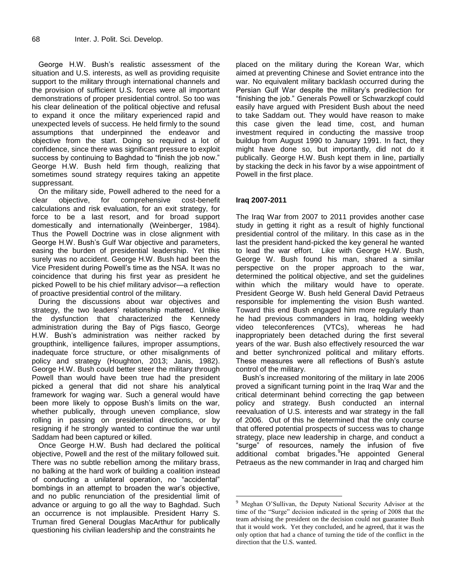George H.W. Bush"s realistic assessment of the situation and U.S. interests, as well as providing requisite support to the military through international channels and the provision of sufficient U.S. forces were all important demonstrations of proper presidential control. So too was his clear delineation of the political objective and refusal to expand it once the military experienced rapid and unexpected levels of success. He held firmly to the sound assumptions that underpinned the endeavor and objective from the start. Doing so required a lot of confidence, since there was significant pressure to exploit success by continuing to Baghdad to "finish the job now." George H.W. Bush held firm though, realizing that sometimes sound strategy requires taking an appetite suppressant.

On the military side, Powell adhered to the need for a clear objective, for comprehensive cost-benefit calculations and risk evaluation, for an exit strategy, for force to be a last resort, and for broad support domestically and internationally (Weinberger, 1984). Thus the Powell Doctrine was in close alignment with George H.W. Bush"s Gulf War objective and parameters, easing the burden of presidential leadership. Yet this surely was no accident. George H.W. Bush had been the Vice President during Powell"s time as the NSA. It was no coincidence that during his first year as president he picked Powell to be his chief military advisor—a reflection of proactive presidential control of the military.

During the discussions about war objectives and strategy, the two leaders' relationship mattered. Unlike the dysfunction that characterized the Kennedy administration during the Bay of Pigs fiasco, George H.W. Bush"s administration was neither racked by groupthink, intelligence failures, improper assumptions, inadequate force structure, or other misalignments of policy and strategy (Houghton, 2013; Janis, 1982). George H.W. Bush could better steer the military through Powell than would have been true had the president picked a general that did not share his analytical framework for waging war. Such a general would have been more likely to oppose Bush's limits on the war, whether publically, through uneven compliance, slow rolling in passing on presidential directions, or by resigning if he strongly wanted to continue the war until Saddam had been captured or killed.

Once George H.W. Bush had declared the political objective, Powell and the rest of the military followed suit. There was no subtle rebellion among the military brass, no balking at the hard work of building a coalition instead of conducting a unilateral operation, no "accidental" bombings in an attempt to broaden the war"s objective, and no public renunciation of the presidential limit of advance or arguing to go all the way to Baghdad. Such an occurrence is not implausible. President Harry S. Truman fired General Douglas MacArthur for publically questioning his civilian leadership and the constraints he

placed on the military during the Korean War, which aimed at preventing Chinese and Soviet entrance into the war. No equivalent military backlash occurred during the Persian Gulf War despite the military"s predilection for "finishing the job." Generals Powell or Schwarzkopf could easily have argued with President Bush about the need to take Saddam out. They would have reason to make this case given the lead time, cost, and human investment required in conducting the massive troop buildup from August 1990 to January 1991. In fact, they might have done so, but importantly, did not do it publically. George H.W. Bush kept them in line, partially by stacking the deck in his favor by a wise appointment of Powell in the first place.

#### **Iraq 2007-2011**

 $\overline{a}$ 

The Iraq War from 2007 to 2011 provides another case study in getting it right as a result of highly functional presidential control of the military. In this case as in the last the president hand-picked the key general he wanted to lead the war effort. Like with George H.W. Bush, George W. Bush found his man, shared a similar perspective on the proper approach to the war, determined the political objective, and set the guidelines within which the military would have to operate. President George W. Bush held General David Petraeus responsible for implementing the vision Bush wanted. Toward this end Bush engaged him more regularly than he had previous commanders in Iraq, holding weekly video teleconferences (VTCs), whereas he had inappropriately been detached during the first several years of the war. Bush also effectively resourced the war and better synchronized political and military efforts. These measures were all reflections of Bush"s astute control of the military.

Bush"s increased monitoring of the military in late 2006 proved a significant turning point in the Iraq War and the critical determinant behind correcting the gap between policy and strategy. Bush conducted an internal reevaluation of U.S. interests and war strategy in the fall of 2006. Out of this he determined that the only course that offered potential prospects of success was to change strategy, place new leadership in charge, and conduct a "surge" of resources, namely the infusion of five additional combat brigades.<sup>9</sup>He appointed General Petraeus as the new commander in Iraq and charged him

<sup>9</sup> Meghan O'Sullivan, the Deputy National Security Advisor at the time of the "Surge" decision indicated in the spring of 2008 that the team advising the president on the decision could not guarantee Bush that it would work. Yet they concluded, and he agreed, that it was the only option that had a chance of turning the tide of the conflict in the direction that the U.S. wanted.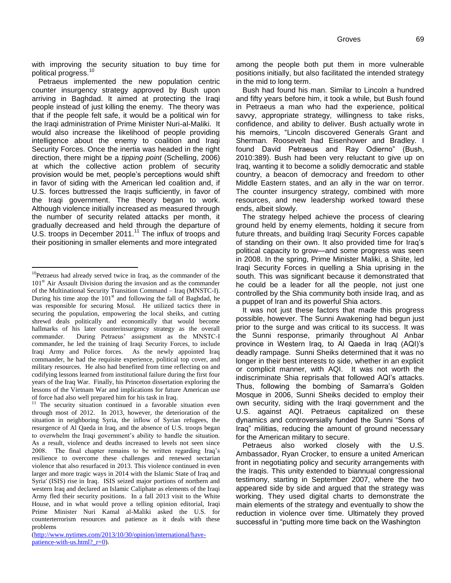with improving the security situation to buy time for political progress.<sup>10</sup>

Petraeus implemented the new population centric counter insurgency strategy approved by Bush upon arriving in Baghdad. It aimed at protecting the Iraqi people instead of just killing the enemy. The theory was that if the people felt safe, it would be a political win for the Iraqi administration of Prime Minister Nuri-al-Maliki. It would also increase the likelihood of people providing intelligence about the enemy to coalition and Iraqi Security Forces. Once the inertia was headed in the right direction, there might be a *tipping point* (Schelling, 2006) at which the collective action problem of security provision would be met, people"s perceptions would shift in favor of siding with the American led coalition and, if U.S. forces buttressed the Iraqis sufficiently, in favor of the Iraqi government. The theory began to work. Although violence initially increased as measured through the number of security related attacks per month, it gradually decreased and held through the departure of U.S. troops in December 2011.<sup>11</sup> The influx of troops and their positioning in smaller elements and more integrated

 $\overline{a}$ 

among the people both put them in more vulnerable positions initially, but also facilitated the intended strategy in the mid to long term.

Bush had found his man. Similar to Lincoln a hundred and fifty years before him, it took a while, but Bush found in Petraeus a man who had the experience, political savvy, appropriate strategy, willingness to take risks, confidence, and ability to deliver. Bush actually wrote in his memoirs, "Lincoln discovered Generals Grant and Sherman. Roosevelt had Eisenhower and Bradley. I found David Petraeus and Ray Odierno" (Bush, 2010:389). Bush had been very reluctant to give up on Iraq, wanting it to become a solidly democratic and stable country, a beacon of democracy and freedom to other Middle Eastern states, and an ally in the war on terror. The counter insurgency strategy, combined with more resources, and new leadership worked toward these ends, albeit slowly.

The strategy helped achieve the process of clearing ground held by enemy elements, holding it secure from future threats, and building Iraqi Security Forces capable of standing on their own. It also provided time for Iraq"s political capacity to grow—and some progress was seen in 2008. In the spring, Prime Minister Maliki, a Shiite, led Iraqi Security Forces in quelling a Shia uprising in the south. This was significant because it demonstrated that he could be a leader for all the people, not just one controlled by the Shia community both inside Iraq, and as a puppet of Iran and its powerful Shia actors.

It was not just these factors that made this progress possible, however. The Sunni Awakening had begun just prior to the surge and was critical to its success. It was the Sunni response, primarily throughout Al Anbar province in Western Iraq, to Al Qaeda in Iraq (AQI)"s deadly rampage. Sunni Sheiks determined that it was no longer in their best interests to side, whether in an explicit or complicit manner, with AQI. It was not worth the indiscriminate Shia reprisals that followed AQI"s attacks. Thus, following the bombing of Samarra"s Golden Mosque in 2006, Sunni Sheiks decided to employ their own security, siding with the Iraqi government and the U.S. against AQI. Petraeus capitalized on these dynamics and controversially funded the Sunni "Sons of Iraq" militias, reducing the amount of ground necessary for the American military to secure.

Petraeus also worked closely with the U.S. Ambassador, Ryan Crocker, to ensure a united American front in negotiating policy and security arrangements with the Iraqis. This unity extended to biannual congressional testimony, starting in September 2007, where the two appeared side by side and argued that the strategy was working. They used digital charts to demonstrate the main elements of the strategy and eventually to show the reduction in violence over time. Ultimately they proved successful in "putting more time back on the Washington

<sup>&</sup>lt;sup>10</sup>Petraeus had already served twice in Iraq, as the commander of the  $101<sup>st</sup>$  Air Assault Division during the invasion and as the commander of the Multinational Security Transition Command – Iraq (MNSTC-I). During his time atop the  $101<sup>st</sup>$  and following the fall of Baghdad, he was responsible for securing Mosul. He utilized tactics there in securing the population, empowering the local sheiks, and cutting shrewd deals politically and economically that would become hallmarks of his later counterinsurgency strategy as the overall commander. During Petraeus' assignment as the MNSTC-I commander, he led the training of Iraqi Security Forces, to include Iraqi Army and Police forces. As the newly appointed Iraq commander, he had the requisite experience, political top cover, and military resources. He also had benefited from time reflecting on and codifying lessons learned from institutional failure during the first four years of the Iraq War. Finally, his Princeton dissertation exploring the lessons of the Vietnam War and implications for future American use of force had also well prepared him for his task in Iraq.

<sup>&</sup>lt;sup>11</sup> The security situation continued in a favorable situation even through most of 2012. In 2013, however, the deterioration of the situation in neighboring Syria, the inflow of Syrian refugees, the resurgence of Al Qaeda in Iraq, and the absence of U.S. troops began to overwhelm the Iraqi government's ability to handle the situation. As a result, violence and deaths increased to levels not seen since 2008. The final chapter remains to be written regarding Iraq's resilience to overcome these challenges and renewed sectarian violence that also resurfaced in 2013. This violence continued in even larger and more tragic ways in 2014 with the Islamic State of Iraq and Syria' (ISIS) rise in Iraq. ISIS seized major portions of northern and western Iraq and declared an Islamic Caliphate as elements of the Iraqi Army fled their security positions. In a fall 2013 visit to the White House, and in what would prove a telling opinion editorial, Iraqi Prime Minister Nuri Kamal al-Maliki asked the U.S. for counterterrorism resources and patience as it deals with these problems

[<sup>\(</sup>http://www.nytimes.com/2013/10/30/opinion/international/have](http://www.nytimes.com/2013/10/30/opinion/international/have-patience-with-us.html?_r=0)[patience-with-us.html?\\_r=0\)](http://www.nytimes.com/2013/10/30/opinion/international/have-patience-with-us.html?_r=0).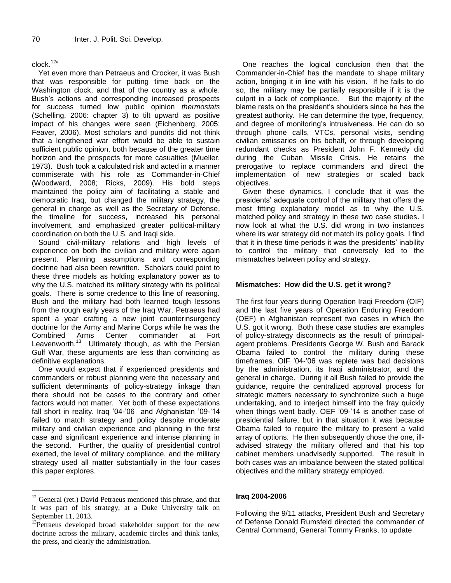#### $clock.^{12}$

Yet even more than Petraeus and Crocker, it was Bush that was responsible for putting time back on the Washington clock, and that of the country as a whole. Bush"s actions and corresponding increased prospects for success turned low public opinion *thermostats*  (Schelling, 2006: chapter 3) to tilt upward as positive impact of his changes were seen (Eichenberg, 2005; Feaver, 2006). Most scholars and pundits did not think that a lengthened war effort would be able to sustain sufficient public opinion, both because of the greater time horizon and the prospects for more casualties (Mueller, 1973). Bush took a calculated risk and acted in a manner commiserate with his role as Commander-in-Chief (Woodward, 2008; Ricks, 2009). His bold steps maintained the policy aim of facilitating a stable and democratic Iraq, but changed the military strategy, the general in charge as well as the Secretary of Defense, the timeline for success, increased his personal involvement, and emphasized greater political-military coordination on both the U.S. and Iraqi side.

Sound civil-military relations and high levels of experience on both the civilian and military were again present. Planning assumptions and corresponding doctrine had also been rewritten. Scholars could point to these three models as holding explanatory power as to why the U.S. matched its military strategy with its political goals. There is some credence to this line of reasoning. Bush and the military had both learned tough lessons from the rough early years of the Iraq War. Petraeus had spent a year crafting a new joint counterinsurgency doctrine for the Army and Marine Corps while he was the Combined Arms Center commander at Fort Leavenworth.<sup>13</sup> Ultimately though, as with the Persian Gulf War, these arguments are less than convincing as definitive explanations.

One would expect that if experienced presidents and commanders or robust planning were the necessary and sufficient determinants of policy-strategy linkage than there should not be cases to the contrary and other factors would not matter. Yet both of these expectations fall short in reality. Iraq '04-'06 and Afghanistan '09-'14 failed to match strategy and policy despite moderate military and civilian experience and planning in the first case and significant experience and intense planning in the second. Further, the quality of presidential control exerted, the level of military compliance, and the military strategy used all matter substantially in the four cases this paper explores.

 $\overline{a}$ 

One reaches the logical conclusion then that the Commander-in-Chief has the mandate to shape military action, bringing it in line with his vision. If he fails to do so, the military may be partially responsible if it is the culprit in a lack of compliance. But the majority of the blame rests on the president"s shoulders since he has the greatest authority. He can determine the type, frequency, and degree of monitoring"s intrusiveness. He can do so through phone calls, VTCs, personal visits, sending civilian emissaries on his behalf, or through developing redundant checks as President John F. Kennedy did during the Cuban Missile Crisis. He retains the prerogative to replace commanders and direct the implementation of new strategies or scaled back objectives.

Given these dynamics, I conclude that it was the presidents" adequate control of the military that offers the most fitting explanatory model as to why the U.S. matched policy and strategy in these two case studies. I now look at what the U.S. did wrong in two instances where its war strategy did not match its policy goals. I find that it in these time periods it was the presidents' inability to control the military that conversely led to the mismatches between policy and strategy.

#### **Mismatches: How did the U.S. get it wrong?**

The first four years during Operation Iraqi Freedom (OIF) and the last five years of Operation Enduring Freedom (OEF) in Afghanistan represent two cases in which the U.S. got it wrong. Both these case studies are examples of policy-strategy disconnects as the result of principalagent problems. Presidents George W. Bush and Barack Obama failed to control the military during these timeframes. OIF "04-"06 was replete was bad decisions by the administration, its Iraqi administrator, and the general in charge. During it all Bush failed to provide the guidance, require the centralized approval process for strategic matters necessary to synchronize such a huge undertaking, and to interject himself into the fray quickly when things went badly. OEF '09-'14 is another case of presidential failure, but in that situation it was because Obama failed to require the military to present a valid array of options. He then subsequently chose the one, illadvised strategy the military offered and that his top cabinet members unadvisedly supported. The result in both cases was an imbalance between the stated political objectives and the military strategy employed.

#### **Iraq 2004-2006**

Following the 9/11 attacks, President Bush and Secretary of Defense Donald Rumsfeld directed the commander of Central Command, General Tommy Franks, to update

<sup>&</sup>lt;sup>12</sup> General (ret.) David Petraeus mentioned this phrase, and that it was part of his strategy, at a Duke University talk on September 11, 2013.

<sup>&</sup>lt;sup>13</sup>Petraeus developed broad stakeholder support for the new doctrine across the military, academic circles and think tanks, the press, and clearly the administration.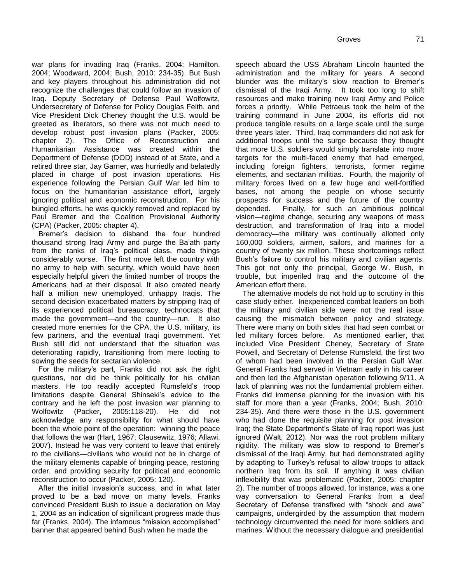war plans for invading Iraq (Franks, 2004; Hamilton, 2004; Woodward, 2004; Bush, 2010: 234-35). But Bush and key players throughout his administration did not recognize the challenges that could follow an invasion of Iraq. Deputy Secretary of Defense Paul Wolfowitz, Undersecretary of Defense for Policy Douglas Feith, and Vice President Dick Cheney thought the U.S. would be greeted as liberators, so there was not much need to develop robust post invasion plans (Packer, 2005: chapter 2). The Office of Reconstruction and Humanitarian Assistance was created within the Department of Defense (DOD) instead of at State, and a retired three star, Jay Garner, was hurriedly and belatedly placed in charge of post invasion operations. His experience following the Persian Gulf War led him to focus on the humanitarian assistance effort, largely ignoring political and economic reconstruction. For his bungled efforts, he was quickly removed and replaced by Paul Bremer and the Coalition Provisional Authority (CPA) (Packer, 2005: chapter 4).

Bremer"s decision to disband the four hundred thousand strong Iraqi Army and purge the Ba"ath party from the ranks of Iraq"s political class, made things considerably worse. The first move left the country with no army to help with security, which would have been especially helpful given the limited number of troops the Americans had at their disposal. It also created nearly half a million new unemployed, unhappy Iraqis. The second decision exacerbated matters by stripping Iraq of its experienced political bureaucracy, technocrats that made the government—and the country—run. It also created more enemies for the CPA, the U.S. military, its few partners, and the eventual Iraqi government. Yet Bush still did not understand that the situation was deteriorating rapidly, transitioning from mere looting to sowing the seeds for sectarian violence.

For the military"s part, Franks did not ask the right questions, nor did he think politically for his civilian masters. He too readily accepted Rumsfeld"s troop limitations despite General Shinseki"s advice to the contrary and he left the post invasion war planning to Wolfowitz (Packer, 2005:118-20). He did not acknowledge any responsibility for what should have been the whole point of the operation: winning the peace that follows the war (Hart, 1967; Clausewitz, 1976; Allawi, 2007). Instead he was very content to leave that entirely to the civilians—civilians who would not be in charge of the military elements capable of bringing peace, restoring order, and providing security for political and economic reconstruction to occur (Packer, 2005: 120).

After the initial invasion's success, and in what later proved to be a bad move on many levels, Franks convinced President Bush to issue a declaration on May 1, 2004 as an indication of significant progress made thus far (Franks, 2004). The infamous "mission accomplished" banner that appeared behind Bush when he made the

speech aboard the USS Abraham Lincoln haunted the administration and the military for years. A second blunder was the military's slow reaction to Bremer's dismissal of the Iraqi Army. It took too long to shift resources and make training new Iraqi Army and Police forces a priority. While Petraeus took the helm of the training command in June 2004, its efforts did not produce tangible results on a large scale until the surge three years later. Third, Iraq commanders did not ask for additional troops until the surge because they thought that more U.S. soldiers would simply translate into more targets for the multi-faced enemy that had emerged, including foreign fighters, terrorists, former regime elements, and sectarian militias. Fourth, the majority of military forces lived on a few huge and well-fortified bases, not among the people on whose security prospects for success and the future of the country depended. Finally, for such an ambitious political vision—regime change, securing any weapons of mass destruction, and transformation of Iraq into a model democracy—the military was continually allotted only 160,000 soldiers, airmen, sailors, and marines for a country of twenty six million. These shortcomings reflect Bush's failure to control his military and civilian agents. This got not only the principal, George W. Bush, in trouble, but imperiled Iraq and the outcome of the American effort there.

The alternative models do not hold up to scrutiny in this case study either. Inexperienced combat leaders on both the military and civilian side were not the real issue causing the mismatch between policy and strategy. There were many on both sides that had seen combat or led military forces before. As mentioned earlier, that included Vice President Cheney, Secretary of State Powell, and Secretary of Defense Rumsfeld, the first two of whom had been involved in the Persian Gulf War. General Franks had served in Vietnam early in his career and then led the Afghanistan operation following 9/11. A lack of planning was not the fundamental problem either. Franks did immense planning for the invasion with his staff for more than a year (Franks, 2004; Bush, 2010: 234-35). And there were those in the U.S. government who had done the requisite planning for post invasion Iraq; the State Department"s State of Iraq report was just ignored (Walt, 2012). Nor was the root problem military rigidity. The military was slow to respond to Bremer"s dismissal of the Iraqi Army, but had demonstrated agility by adapting to Turkey"s refusal to allow troops to attack northern Iraq from its soil. If anything it was civilian inflexibility that was problematic (Packer, 2005: chapter 2). The number of troops allowed, for instance, was a one way conversation to General Franks from a deaf Secretary of Defense transfixed with "shock and awe" campaigns, undergirded by the assumption that modern technology circumvented the need for more soldiers and marines. Without the necessary dialogue and presidential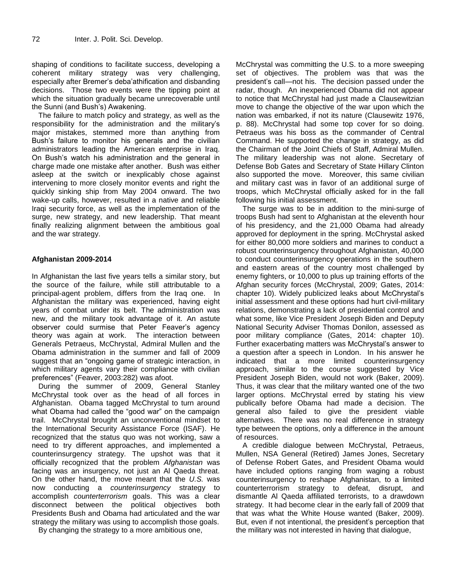shaping of conditions to facilitate success, developing a coherent military strategy was very challenging, especially after Bremer's deba'athification and disbanding decisions. Those two events were the tipping point at which the situation gradually became unrecoverable until the Sunni (and Bush"s) Awakening.

The failure to match policy and strategy, as well as the responsibility for the administration and the military"s major mistakes, stemmed more than anything from Bush's failure to monitor his generals and the civilian administrators leading the American enterprise in Iraq. On Bush"s watch his administration and the general in charge made one mistake after another. Bush was either asleep at the switch or inexplicably chose against intervening to more closely monitor events and right the quickly sinking ship from May 2004 onward. The two wake-up calls, however, resulted in a native and reliable Iraqi security force, as well as the implementation of the surge, new strategy, and new leadership. That meant finally realizing alignment between the ambitious goal and the war strategy.

#### **Afghanistan 2009-2014**

In Afghanistan the last five years tells a similar story, but the source of the failure, while still attributable to a principal-agent problem, differs from the Iraq one. In Afghanistan the military was experienced, having eight years of combat under its belt. The administration was new, and the military took advantage of it. An astute observer could surmise that Peter Feaver's agency theory was again at work. The interaction between Generals Petraeus, McChrystal, Admiral Mullen and the Obama administration in the summer and fall of 2009 suggest that an "ongoing game of strategic interaction, in which military agents vary their compliance with civilian preferences" (Feaver, 2003:282) was afoot.

During the summer of 2009, General Stanley McChrystal took over as the head of all forces in Afghanistan. Obama tagged McChrystal to turn around what Obama had called the "good war" on the campaign trail. McChrystal brought an unconventional mindset to the International Security Assistance Force (ISAF). He recognized that the status quo was not working, saw a need to try different approaches, and implemented a counterinsurgency strategy. The upshot was that it officially recognized that the problem *Afghanistan* was facing was an insurgency, not just an Al Qaeda threat. On the other hand, the move meant that the *U.S.* was now conducting a *counterinsurgency* strategy to accomplish *counterterrorism* goals. This was a clear disconnect between the political objectives both Presidents Bush and Obama had articulated and the war strategy the military was using to accomplish those goals.

By changing the strategy to a more ambitious one,

McChrystal was committing the U.S. to a more sweeping set of objectives. The problem was that was the president"s call—not his. The decision passed under the radar, though. An inexperienced Obama did not appear to notice that McChrystal had just made a Clausewitzian move to change the objective of the war upon which the nation was embarked, if not its nature (Clausewitz 1976, p. 88). McChrystal had some top cover for so doing. Petraeus was his boss as the commander of Central Command. He supported the change in strategy, as did the Chairman of the Joint Chiefs of Staff, Admiral Mullen. The military leadership was not alone. Secretary of Defense Bob Gates and Secretary of State Hillary Clinton also supported the move. Moreover, this same civilian and military cast was in favor of an additional surge of troops, which McChrystal officially asked for in the fall following his initial assessment.

The surge was to be in addition to the mini-surge of troops Bush had sent to Afghanistan at the eleventh hour of his presidency, and the 21,000 Obama had already approved for deployment in the spring. McChrystal asked for either 80,000 more soldiers and marines to conduct a robust counterinsurgency throughout Afghanistan, 40,000 to conduct counterinsurgency operations in the southern and eastern areas of the country most challenged by enemy fighters, or 10,000 to plus up training efforts of the Afghan security forces (McChrystal, 2009; Gates, 2014: chapter 10). Widely publicized leaks about McChrystal"s initial assessment and these options had hurt civil-military relations, demonstrating a lack of presidential control and what some, like Vice President Joseph Biden and Deputy National Security Adviser Thomas Donilon, assessed as poor military compliance (Gates, 2014: chapter 10). Further exacerbating matters was McChrystal's answer to a question after a speech in London. In his answer he indicated that a more limited counterinsurgency approach, similar to the course suggested by Vice President Joseph Biden, would not work (Baker, 2009). Thus, it was clear that the military wanted one of the two larger options. McChrystal erred by stating his view publically before Obama had made a decision. The general also failed to give the president viable alternatives. There was no real difference in strategy type between the options, only a difference in the amount of resources.

A credible dialogue between McChrystal, Petraeus, Mullen, NSA General (Retired) James Jones, Secretary of Defense Robert Gates, and President Obama would have included options ranging from waging a robust counterinsurgency to reshape Afghanistan, to a limited counterterrorism strategy to defeat, disrupt, and dismantle Al Qaeda affiliated terrorists, to a drawdown strategy. It had become clear in the early fall of 2009 that that was what the White House wanted (Baker, 2009). But, even if not intentional, the president's perception that the military was not interested in having that dialogue,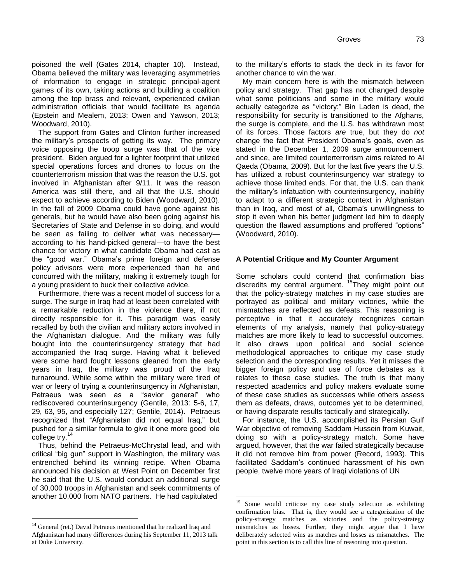poisoned the well (Gates 2014, chapter 10). Instead, Obama believed the military was leveraging asymmetries of information to engage in strategic principal-agent games of its own, taking actions and building a coalition among the top brass and relevant, experienced civilian administration officials that would facilitate its agenda (Epstein and Mealem, 2013; Owen and Yawson, 2013; Woodward, 2010).

The support from Gates and Clinton further increased the military"s prospects of getting its way. The primary voice opposing the troop surge was that of the vice president. Biden argued for a lighter footprint that utilized special operations forces and drones to focus on the counterterrorism mission that was the reason the U.S. got involved in Afghanistan after 9/11. It was the reason America was still there, and all that the U.S. should expect to achieve according to Biden (Woodward, 2010). In the fall of 2009 Obama could have gone against his generals, but he would have also been going against his Secretaries of State and Defense in so doing, and would be seen as failing to deliver what was necessary according to his hand-picked general—to have the best chance for victory in what candidate Obama had cast as the "good war." Obama's prime foreign and defense policy advisors were more experienced than he and concurred with the military, making it extremely tough for a young president to buck their collective advice.

Furthermore, there was a recent model of success for a surge. The surge in Iraq had at least been correlated with a remarkable reduction in the violence there, if not directly responsible for it. This paradigm was easily recalled by both the civilian and military actors involved in the Afghanistan dialogue. And the military was fully bought into the counterinsurgency strategy that had accompanied the Iraq surge. Having what it believed were some hard fought lessons gleaned from the early years in Iraq, the military was proud of the Iraq turnaround. While some within the military were tired of war or leery of trying a counterinsurgency in Afghanistan, Petraeus was seen as a "savior general" who rediscovered counterinsurgency (Gentile, 2013: 5-6, 17, 29, 63, 95, and especially 127; Gentile, 2014). Petraeus recognized that "Afghanistan did not equal Iraq," but pushed for a similar formula to give it one more good "ole college try.<sup>14</sup>

Thus, behind the Petraeus-McChrystal lead, and with critical "big gun" support in Washington, the military was entrenched behind its winning recipe. When Obama announced his decision at West Point on December first he said that the U.S. would conduct an additional surge of 30,000 troops in Afghanistan and seek commitments of another 10,000 from NATO partners. He had capitulated

 $\overline{a}$ 

to the military"s efforts to stack the deck in its favor for another chance to win the war.

My main concern here is with the mismatch between policy and strategy. That gap has not changed despite what some politicians and some in the military would actually categorize as "victory:" Bin Laden is dead, the responsibility for security is transitioned to the Afghans, the surge is complete, and the U.S. has withdrawn most of its forces. Those factors *are* true, but they do *not* change the fact that President Obama"s goals, even as stated in the December 1, 2009 surge announcement and since, are limited counterterrorism aims related to Al Qaeda (Obama, 2009). But for the last five years the U.S. has utilized a robust counterinsurgency war strategy to achieve those limited ends. For that, the U.S. can thank the military"s infatuation with counterinsurgency, inability to adapt to a different strategic context in Afghanistan than in Iraq, and most of all, Obama"s unwillingness to stop it even when his better judgment led him to deeply question the flawed assumptions and proffered "options" (Woodward, 2010).

#### **A Potential Critique and My Counter Argument**

Some scholars could contend that confirmation bias discredits my central argument. <sup>15</sup>They might point out that the policy-strategy matches in my case studies are portrayed as political and military victories, while the mismatches are reflected as defeats. This reasoning is perceptive in that it accurately recognizes certain elements of my analysis, namely that policy-strategy matches are more likely to lead to successful outcomes. It also draws upon political and social science methodological approaches to critique my case study selection and the corresponding results. Yet it misses the bigger foreign policy and use of force debates as it relates to these case studies. The truth is that many respected academics and policy makers evaluate some of these case studies as successes while others assess them as defeats, draws, outcomes yet to be determined, or having disparate results tactically and strategically.

For instance, the U.S. accomplished its Persian Gulf War objective of removing Saddam Hussein from Kuwait, doing so with a policy-strategy match. Some have argued, however, that the war failed strategically because it did not remove him from power (Record, 1993). This facilitated Saddam"s continued harassment of his own people, twelve more years of Iraqi violations of UN

<sup>&</sup>lt;sup>14</sup> General (ret.) David Petraeus mentioned that he realized Iraq and Afghanistan had many differences during his September 11, 2013 talk at Duke University.

<sup>&</sup>lt;sup>15</sup> Some would criticize my case study selection as exhibiting confirmation bias. That is, they would see a categorization of the policy-strategy matches as victories and the policy-strategy mismatches as losses. Further, they might argue that I have deliberately selected wins as matches and losses as mismatches. The point in this section is to call this line of reasoning into question.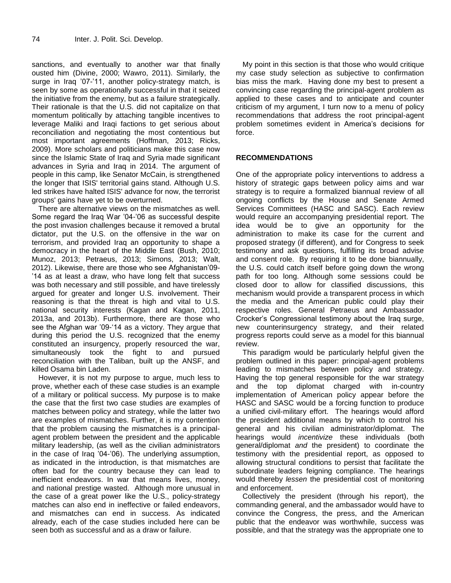sanctions, and eventually to another war that finally ousted him (Divine, 2000; Wawro, 2011). Similarly, the surge in Irag '07-'11, another policy-strategy match, is seen by some as operationally successful in that it seized the initiative from the enemy, but as a failure strategically. Their rationale is that the U.S. did not capitalize on that momentum politically by attaching tangible incentives to leverage Maliki and Iraqi factions to get serious about reconciliation and negotiating the most contentious but most important agreements (Hoffman, 2013; Ricks, 2009). More scholars and politicians make this case now since the Islamic State of Iraq and Syria made significant advances in Syria and Iraq in 2014. The argument of people in this camp, like Senator McCain, is strengthened the longer that ISIS' territorial gains stand. Although U.S. led strikes have halted ISIS' advance for now, the terrorist groups' gains have yet to be overturned.

There are alternative views on the mismatches as well. Some regard the Iraq War "04-"06 as successful despite the post invasion challenges because it removed a brutal dictator, put the U.S. on the offensive in the war on terrorism, and provided Iraq an opportunity to shape a democracy in the heart of the Middle East (Bush, 2010; Munoz, 2013; Petraeus, 2013; Simons, 2013; Walt, 2012). Likewise, there are those who see Afghanistan"09- "14 as at least a draw, who have long felt that success was both necessary and still possible, and have tirelessly argued for greater and longer U.S. involvement. Their reasoning is that the threat is high and vital to U.S. national security interests (Kagan and Kagan, 2011, 2013a, and 2013b). Furthermore, there are those who see the Afghan war '09-'14 as a victory. They argue that during this period the U.S. recognized that the enemy constituted an insurgency, properly resourced the war, simultaneously took the fight to and pursued reconciliation with the Taliban, built up the ANSF, and killed Osama bin Laden.

However, it is not my purpose to argue, much less to prove, whether each of these case studies is an example of a military or political success. My purpose is to make the case that the first two case studies are examples of matches between policy and strategy, while the latter two are examples of mismatches. Further, it is my contention that the problem causing the mismatches is a principalagent problem between the president and the applicable military leadership, (as well as the civilian administrators in the case of Iraq "04-"06). The underlying assumption, as indicated in the introduction, is that mismatches are often bad for the country because they can lead to inefficient endeavors. In war that means lives, money, and national prestige wasted. Although more unusual in the case of a great power like the U.S., policy-strategy matches can also end in ineffective or failed endeavors, and mismatches can end in success. As indicated already, each of the case studies included here can be seen both as successful and as a draw or failure.

My point in this section is that those who would critique my case study selection as subjective to confirmation bias miss the mark. Having done my best to present a convincing case regarding the principal-agent problem as applied to these cases and to anticipate and counter criticism of my argument, I turn now to a menu of policy recommendations that address the root principal-agent problem sometimes evident in America's decisions for force.

#### **RECOMMENDATIONS**

One of the appropriate policy interventions to address a history of strategic gaps between policy aims and war strategy is to require a formalized biannual review of all ongoing conflicts by the House and Senate Armed Services Committees (HASC and SASC). Each review would require an accompanying presidential report. The idea would be to give an opportunity for the administration to make its case for the current and proposed strategy (if different), and for Congress to seek testimony and ask questions, fulfilling its broad advise and consent role. By requiring it to be done biannually, the U.S. could catch itself before going down the wrong path for too long. Although some sessions could be closed door to allow for classified discussions, this mechanism would provide a transparent process in which the media and the American public could play their respective roles. General Petraeus and Ambassador Crocker"s Congressional testimony about the Iraq surge, new counterinsurgency strategy, and their related progress reports could serve as a model for this biannual review.

This paradigm would be particularly helpful given the problem outlined in this paper: principal-agent problems leading to mismatches between policy and strategy. Having the top general responsible for the war strategy and the top diplomat charged with in-country implementation of American policy appear before the HASC and SASC would be a forcing function to produce a unified civil-military effort. The hearings would afford the president additional means by which to control his general and his civilian administrator/diplomat. The hearings would *incentivize* these individuals (both general/diplomat *and* the president) to coordinate the testimony with the presidential report, as opposed to allowing structural conditions to persist that facilitate the subordinate leaders feigning compliance. The hearings would thereby *lessen* the presidential cost of monitoring and enforcement.

Collectively the president (through his report), the commanding general, and the ambassador would have to convince the Congress, the press, and the American public that the endeavor was worthwhile, success was possible, and that the strategy was the appropriate one to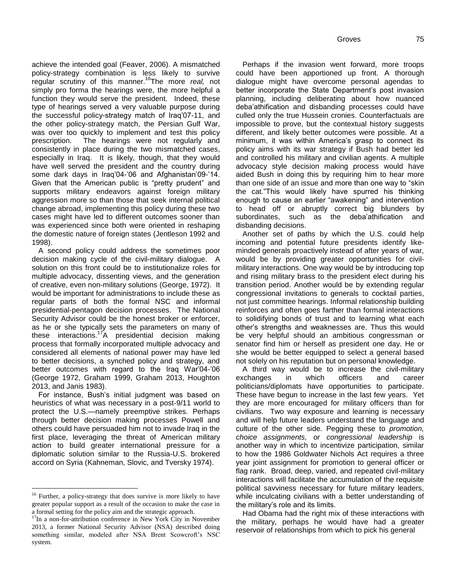Groves 75

achieve the intended goal (Feaver, 2006). A mismatched policy-strategy combination is less likely to survive regular scrutiny of this manner.<sup>16</sup>The more *real,* not simply pro forma the hearings were, the more helpful a function they would serve the president. Indeed, these type of hearings served a very valuable purpose during the successful policy-strategy match of Iraq"07-11, and the other policy-strategy match, the Persian Gulf War, was over too quickly to implement and test this policy prescription. The hearings were not regularly and consistently in place during the two mismatched cases, especially in Iraq. It is likely, though, that they would have well served the president and the country during some dark days in Iraq'04-'06 and Afghanistan'09-'14. Given that the American public is "pretty prudent" and supports military endeavors against foreign military aggression more so than those that seek internal political change abroad, implementing this policy during these two cases might have led to different outcomes sooner than was experienced since both were oriented in reshaping the domestic nature of foreign states (Jentleson 1992 and 1998).

A second policy could address the sometimes poor decision making cycle of the civil-military dialogue. A solution on this front could be to institutionalize roles for multiple advocacy, dissenting views, and the generation of creative, even non-military solutions (George, 1972). It would be important for administrations to include these as regular parts of both the formal NSC and informal presidential-pentagon decision processes. The National Security Advisor could be the honest broker or enforcer, as he or she typically sets the parameters on many of these interactions.<sup>17</sup>A presidential decision making process that formally incorporated multiple advocacy and considered all elements of national power may have led to better decisions, a synched policy and strategy, and better outcomes with regard to the Iraq War'04-'06 (George 1972, Graham 1999, Graham 2013, Houghton 2013, and Janis 1983).

For instance, Bush"s initial judgment was based on heuristics of what was necessary in a post-9/11 world to protect the U.S.—namely preemptive strikes. Perhaps through better decision making processes Powell and others could have persuaded him not to invade Iraq in the first place, leveraging the threat of American military action to build greater international pressure for a diplomatic solution similar to the Russia-U.S. brokered accord on Syria (Kahneman, Slovic, and Tversky 1974).

 $\overline{a}$ 

Perhaps if the invasion went forward, more troops could have been apportioned up front. A thorough dialogue might have overcome personal agendas to better incorporate the State Department"s post invasion planning, including deliberating about how nuanced deba"athification and disbanding processes could have culled only the true Hussein cronies. Counterfactuals are impossible to prove, but the contextual history suggests different, and likely better outcomes were possible. At a minimum, it was within America's grasp to connect its policy aims with its war strategy if Bush had better led and controlled his military and civilian agents. A multiple advocacy style decision making process would have aided Bush in doing this by requiring him to hear more than one side of an issue and more than one way to "skin the cat."This would likely have spurred his thinking enough to cause an earlier "awakening" and intervention to head off or abruptly correct big blunders by subordinates, such as the deba'athification and disbanding decisions.

Another set of paths by which the U.S. could help incoming and potential future presidents identify likeminded generals proactively instead of after years of war, would be by providing greater opportunities for civilmilitary interactions. One way would be by introducing top and rising military brass to the president elect during his transition period. Another would be by extending regular congressional invitations to generals to cocktail parties, not just committee hearings. Informal relationship building reinforces and often goes farther than formal interactions to solidifying bonds of trust and to learning what each other"s strengths and weaknesses are. Thus this would be very helpful should an ambitious congressman or senator find him or herself as president one day. He or she would be better equipped to select a general based not solely on his reputation but on personal knowledge.

A third way would be to increase the civil-military exchanges in which officers and career politicians/diplomats have opportunities to participate. These have begun to increase in the last few years. Yet they are more encouraged for military officers than for civilians. Two way exposure and learning is necessary and will help future leaders understand the language and culture of the other side. Pegging these to *promotion, choice assignments, or congressional leadership* is another way in which to incentivize participation, similar to how the 1986 Goldwater Nichols Act requires a three year joint assignment for promotion to general officer or flag rank. Broad, deep, varied, and repeated civil-military interactions will facilitate the accumulation of the requisite political savviness necessary for future military leaders, while inculcating civilians with a better understanding of the military"s role and its limits.

Had Obama had the right mix of these interactions with the military, perhaps he would have had a greater reservoir of relationships from which to pick his general

<sup>&</sup>lt;sup>16</sup> Further, a policy-strategy that does survive is more likely to have greater popular support as a result of the occasion to make the case in a formal setting for the policy aim and the strategic approach.

<sup>&</sup>lt;sup>17</sup>In a non-for-attribution conference in New York City in November 2013, a former National Security Advisor (NSA) described doing something similar, modeled after NSA Brent Scowcroft's NSC system.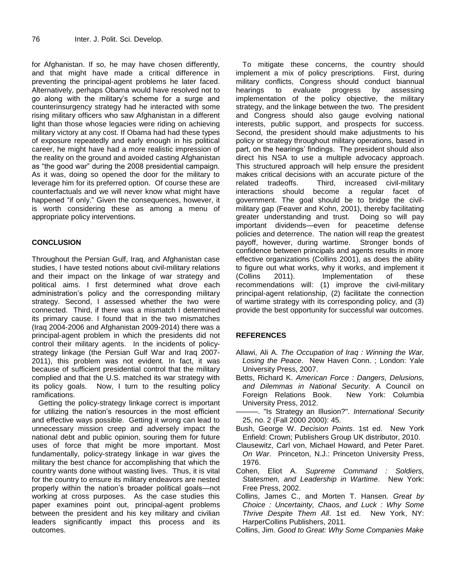for Afghanistan. If so, he may have chosen differently, and that might have made a critical difference in preventing the principal-agent problems he later faced. Alternatively, perhaps Obama would have resolved not to go along with the military"s scheme for a surge and counterinsurgency strategy had he interacted with some rising military officers who saw Afghanistan in a different light than those whose legacies were riding on achieving military victory at any cost. If Obama had had these types of exposure repeatedly and early enough in his political career, he might have had a more realistic impression of the reality on the ground and avoided casting Afghanistan as "the good war" during the 2008 presidential campaign. As it was, doing so opened the door for the military to leverage him for its preferred option. Of course these are counterfactuals and we will never know what might have happened "if only." Given the consequences, however, it is worth considering these as among a menu of appropriate policy interventions.

#### **CONCLUSION**

Throughout the Persian Gulf, Iraq, and Afghanistan case studies, I have tested notions about civil-military relations and their impact on the linkage of war strategy and political aims. I first determined what drove each administration"s policy and the corresponding military strategy. Second, I assessed whether the two were connected. Third, if there was a mismatch I determined its primary cause. I found that in the two mismatches (Iraq 2004-2006 and Afghanistan 2009-2014) there was a principal-agent problem in which the presidents did not control their military agents. In the incidents of policystrategy linkage (the Persian Gulf War and Iraq 2007- 2011), this problem was not evident. In fact, it was because of sufficient presidential control that the military complied and that the U.S. matched its war strategy with its policy goals. Now, I turn to the resulting policy ramifications.

Getting the policy-strategy linkage correct is important for utilizing the nation"s resources in the most efficient and effective ways possible. Getting it wrong can lead to unnecessary mission creep and adversely impact the national debt and public opinion, souring them for future uses of force that might be more important. Most fundamentally, policy-strategy linkage in war gives the military the best chance for accomplishing that which the country wants done without wasting lives. Thus, it is vital for the country to ensure its military endeavors are nested properly within the nation"s broader political goals—not working at cross purposes. As the case studies this paper examines point out, principal-agent problems between the president and his key military and civilian leaders significantly impact this process and its outcomes.

To mitigate these concerns, the country should implement a mix of policy prescriptions. First, during military conflicts, Congress should conduct biannual hearings to evaluate progress by assessing implementation of the policy objective, the military strategy, and the linkage between the two. The president and Congress should also gauge evolving national interests, public support, and prospects for success. Second, the president should make adjustments to his policy or strategy throughout military operations, based in part, on the hearings' findings. The president should also direct his NSA to use a multiple advocacy approach. This structured approach will help ensure the president makes critical decisions with an accurate picture of the related tradeoffs. Third, increased civil-military interactions should become a regular facet of government. The goal should be to bridge the civilmilitary gap (Feaver and Kohn, 2001), thereby facilitating greater understanding and trust. Doing so will pay important dividends—even for peacetime defense policies and deterrence. The nation will reap the greatest payoff, however, during wartime. Stronger bonds of confidence between principals and agents results in more effective organizations (Collins 2001), as does the ability to figure out what works, why it works, and implement it (Collins 2011). Implementation of these recommendations will: (1) improve the civil-military principal-agent relationship, (2) facilitate the connection of wartime strategy with its corresponding policy, and (3) provide the best opportunity for successful war outcomes.

#### **REFERENCES**

- Allawi, Ali A. *The Occupation of Iraq : Winning the War, Losing the Peace*. New Haven Conn. ; London: Yale University Press, 2007.
- Betts, Richard K. *American Force : Dangers, Delusions, and Dilemmas in National Security*. A Council on Foreign Relations Book. New York: Columbia University Press, 2012.
- ———. "Is Strategy an Illusion?". *International Security*  25, no. 2 (Fall 2000 2000): 45.
- Bush, George W. *Decision Points*. 1st ed. New York Enfield: Crown; Publishers Group UK distributor, 2010.
- Clausewitz, Carl von, Michael Howard, and Peter Paret. *On War*. Princeton, N.J.: Princeton University Press, 1976.
- Cohen, Eliot A. *Supreme Command : Soldiers, Statesmen, and Leadership in Wartime*. New York: Free Press, 2002.
- Collins, James C., and Morten T. Hansen. *Great by Choice : Uncertainty, Chaos, and Luck : Why Some Thrive Despite Them All*. 1st ed. New York, NY: HarperCollins Publishers, 2011.
- Collins, Jim. *Good to Great: Why Some Companies Make*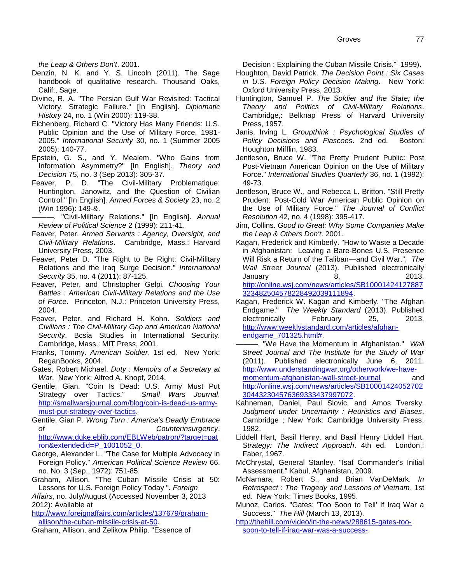*the Leap & Others Don't*. 2001.

- Denzin, N. K. and Y. S. Lincoln (2011). The Sage handbook of qualitative research. Thousand Oaks, Calif., Sage.
- Divine, R. A. "The Persian Gulf War Revisited: Tactical Victory, Strategic Failure." [In English]. *Diplomatic History* 24, no. 1 (Win 2000): 119-38.
- Eichenberg, Richard C. "Victory Has Many Friends: U.S. Public Opinion and the Use of Military Force, 1981- 2005." *International Security* 30, no. 1 (Summer 2005 2005): 140-77.
- Epstein, G. S., and Y. Mealem. "Who Gains from Information Asymmetry?" [In English]. *Theory and Decision* 75, no. 3 (Sep 2013): 305-37.
- Feaver, P. D. "The Civil-Military Problematique: Huntington, Janowitz, and the Question of Civilian Control." [In English]. *Armed Forces & Society* 23, no. 2 (Win 1996): 149-&.

———. "Civil-Military Relations." [In English]. *Annual Review of Political Science* 2 (1999): 211-41.

- Feaver, Peter. *Armed Servants : Agency, Oversight, and Civil-Military Relations*. Cambridge, Mass.: Harvard University Press, 2003.
- Feaver, Peter D. "The Right to Be Right: Civil-Military Relations and the Iraq Surge Decision." *International Security* 35, no. 4 (2011): 87-125.
- Feaver, Peter, and Christopher Gelpi. *Choosing Your Battles : American Civil-Military Relations and the Use of Force*. Princeton, N.J.: Princeton University Press, 2004.
- Feaver, Peter, and Richard H. Kohn. *Soldiers and Civilians : The Civil-Military Gap and American National Security*. Bcsia Studies in International Security. Cambridge, Mass.: MIT Press, 2001.
- Franks, Tommy. *American Soldier*. 1st ed. New York: ReganBooks, 2004.
- Gates, Robert Michael. *Duty : Memoirs of a Secretary at War*. New York: Alfred A. Knopf, 2014.
- Gentile, Gian. "Coin Is Dead: U.S. Army Must Put Strategy over Tactics." *Small Wars Journal*. [http://smallwarsjournal.com/blog/coin-is-dead-us-army](http://smallwarsjournal.com/blog/coin-is-dead-us-army-must-put-strategy-over-tactics)[must-put-strategy-over-tactics.](http://smallwarsjournal.com/blog/coin-is-dead-us-army-must-put-strategy-over-tactics)
- Gentile, Gian P. *Wrong Turn : America's Deadly Embrace of Counterinsurgency*. [http://www.duke.eblib.com/EBLWeb/patron/?target=pat](http://www.duke.eblib.com/EBLWeb/patron/?target=patron&extendedid=P_1001052_0) [ron&extendedid=P\\_1001052\\_0.](http://www.duke.eblib.com/EBLWeb/patron/?target=patron&extendedid=P_1001052_0)
- George, Alexander L. "The Case for Multiple Advocacy in Foreign Policy." *American Political Science Review* 66, no. No. 3 (Sep., 1972): 751-85.
- Graham, Allison. "The Cuban Missile Crisis at 50: Lessons for U.S. Foreign Policy Today ". *Foreign*

*Affairs*, no. July/August (Accessed November 3, 2013 2012): Available at

[http://www.foreignaffairs.com/articles/137679/graham](http://www.foreignaffairs.com/articles/137679/graham-allison/the-cuban-missile-crisis-at-50)[allison/the-cuban-missile-crisis-at-50.](http://www.foreignaffairs.com/articles/137679/graham-allison/the-cuban-missile-crisis-at-50)

Graham, Allison, and Zelikow Philip. "Essence of

Decision : Explaining the Cuban Missile Crisis." 1999).

- Houghton, David Patrick. *The Decision Point : Six Cases in U.S. Foreign Policy Decision Making*. New York: Oxford University Press, 2013.
- Huntington, Samuel P. *The Soldier and the State; the Theory and Politics of Civil-Military Relations*. Cambridge,: Belknap Press of Harvard University Press, 1957.
- Janis, Irving L. *Groupthink : Psychological Studies of Policy Decisions and Fiascoes*. 2nd ed. Boston: Houghton Mifflin, 1983.
- Jentleson, Bruce W. "The Pretty Prudent Public: Post Post-Vietnam American Opinion on the Use of Military Force." *International Studies Quarterly* 36, no. 1 (1992): 49-73.
- Jentleson, Bruce W., and Rebecca L. Britton. "Still Pretty Prudent: Post-Cold War American Public Opinion on the Use of Military Force." *The Journal of Conflict Resolution* 42, no. 4 (1998): 395-417.
- Jim, Collins. *Good to Great: Why Some Companies Make the Leap & Others Don't*. 2001.
- Kagan, Frederick and Kimberly. "How to Waste a Decade in Afghanistan: Leaving a Bare-Bones U.S. Presence Will Risk a Return of the Taliban—and Civil War.", *The Wall Street Journal* (2013). Published electronically January 8, 2013. [http://online.wsj.com/news/articles/SB10001424127887](http://online.wsj.com/news/articles/SB10001424127887323482504578228492039111894) [323482504578228492039111894.](http://online.wsj.com/news/articles/SB10001424127887323482504578228492039111894)
- Kagan, Frederick W. Kagan and Kimberly. "The Afghan Endgame." *The Weekly Standard* (2013). Published electronically February 25, 2013. [http://www.weeklystandard.com/articles/afghan](http://www.weeklystandard.com/articles/afghan-endgame_701325.html)[endgame\\_701325.html#.](http://www.weeklystandard.com/articles/afghan-endgame_701325.html)
- ———. "We Have the Momentum in Afghanistan." *Wall Street Journal and The Institute for the Study of War* (2011). Published electronically June 6, 2011. [http://www.understandingwar.org/otherwork/we-have](http://www.understandingwar.org/otherwork/we-have-momentum-afghanistan-wall-street-journal)[momentum-afghanistan-wall-street-journal](http://www.understandingwar.org/otherwork/we-have-momentum-afghanistan-wall-street-journal) and [http://online.wsj.com/news/articles/SB10001424052702](http://online.wsj.com/news/articles/SB10001424052702304432304576369333437997072) [304432304576369333437997072.](http://online.wsj.com/news/articles/SB10001424052702304432304576369333437997072)
- Kahneman, Daniel, Paul Slovic, and Amos Tversky. *Judgment under Uncertainty : Heuristics and Biases*. Cambridge ; New York: Cambridge University Press, 1982.
- Liddell Hart, Basil Henry, and Basil Henry Liddell Hart. *Strategy: The Indirect Approach*. 4th ed. London,: Faber, 1967.
- McChrystal, General Stanley. "Isaf Commander's Initial Assessment." Kabul, Afghanistan, 2009.
- McNamara, Robert S., and Brian VanDeMark. *In Retrospect : The Tragedy and Lessons of Vietnam*. 1st ed. New York: Times Books, 1995.
- Munoz, Carlos. "Gates: 'Too Soon to Tell' If Iraq War a Success." *The Hill* (March 13, 2013).
- [http://thehill.com/video/in-the-news/288615-gates-too](http://thehill.com/video/in-the-news/288615-gates-too-soon-to-tell-if-iraq-war-was-a-success-)[soon-to-tell-if-iraq-war-was-a-success-.](http://thehill.com/video/in-the-news/288615-gates-too-soon-to-tell-if-iraq-war-was-a-success-)